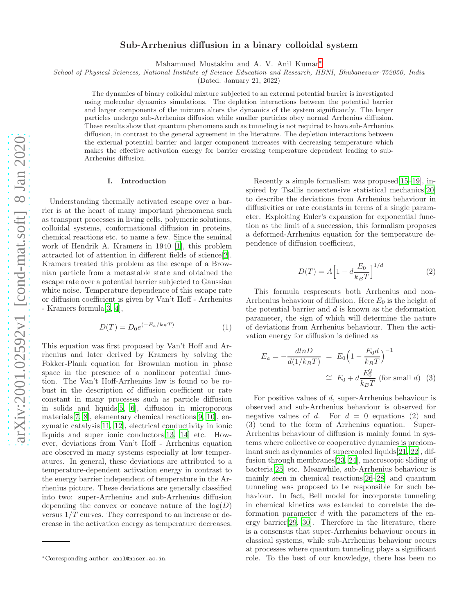# Sub-Arrhenius diffusion in a binary colloidal system

Mahammad Mustakim and A. V. Anil Kumar[∗](#page-0-0)

School of Physical Sciences, National Institute of Science Education and Research, HBNI, Bhubaneswar-752050, India

(Dated: January 21, 2022)

The dynamics of binary colloidal mixture subjected to an external potential barrier is investigated using molecular dynamics simulations. The depletion interactions between the potential barrier and larger components of the mixture alters the dynamics of the system significantly. The larger particles undergo sub-Arrhenius diffusion while smaller particles obey normal Arrhenius diffusion. These results show that quantum phenomena such as tunneling is not required to have sub-Arrhenius diffusion, in contrast to the general agreement in the literature. The depletion interactions between the external potential barrier and larger component increases with decreasing temperature which makes the effective activation energy for barrier crossing temperature dependent leading to sub-Arrhenius diffusion.

### I. Introduction

Understanding thermally activated escape over a barrier is at the heart of many important phenomena such as transport processes in living cells, polymeric solutions, colloidal systems, conformational diffusion in proteins, chemical reactions etc. to name a few. Since the seminal work of Hendrik A. Kramers in 1940 [\[1\]](#page-5-0), this problem attracted lot of attention in different fields of science[\[2\]](#page-5-1). Kramers treated this problem as the escape of a Brownian particle from a metastable state and obtained the escape rate over a potential barrier subjected to Gaussian white noise. Temperature dependence of this escape rate or diffusion coefficient is given by Van't Hoff - Arrhenius - Kramers formula[\[3](#page-5-2), [4](#page-5-3)],

$$
D(T) = D_0 e^{(-E_a/k_B T)}
$$
\n<sup>(1)</sup>

This equation was first proposed by Van't Hoff and Arrhenius and later derived by Kramers by solving the Fokker-Plank equation for Brownian motion in phase space in the presence of a nonlinear potential function. The Van't Hoff-Arrhenius law is found to be robust in the description of diffusion coefficient or rate constant in many processes such as particle diffusion in solids and liquids[\[5,](#page-5-4) [6\]](#page-5-5), diffusion in microporous materials[\[7,](#page-5-6) [8\]](#page-6-0), elementary chemical reactions[\[9,](#page-6-1) [10\]](#page-6-2), enzymatic catalysis[\[11,](#page-6-3) [12\]](#page-6-4), electrical conductivity in ionic liquids and super ionic conductors[\[13](#page-6-5), [14](#page-6-6)] etc. However, deviations from Van't Hoff - Arrhenius equation are observed in many systems especially at low temperatures. In general, these deviations are attributed to a temperature-dependent activation energy in contrast to the energy barrier independent of temperature in the Arrhenius picture. These deviations are generally classified into two: super-Arrhenius and sub-Arrhenius diffusion depending the convex or concave nature of the  $log(D)$ versus  $1/T$  curves. They correspond to an increase or decrease in the activation energy as temperature decreases.

Recently a simple formalism was proposed[\[15](#page-6-7)[–19](#page-6-8)], inspired by Tsallis nonextensive statistical mechanics[\[20\]](#page-6-9) to describe the deviations from Arrhenius behaviour in diffusivities or rate constants in terms of a single parameter. Exploiting Euler's expansion for exponential function as the limit of a succession, this formalism proposes a deformed-Arrhenius equation for the temperature dependence of diffusion coefficient,

$$
D(T) = A \left[ 1 - d \frac{E_0}{k_B T} \right]^{1/d} \tag{2}
$$

This formula respresents both Arrhenius and non-Arrhenius behaviour of diffusion. Here  $E_0$  is the height of the potential barrier and  $d$  is known as the deformation parameter, the sign of which will determine the nature of deviations from Arrhenius behaviour. Then the activation energy for diffusion is defined as

$$
E_a = -\frac{dlnD}{d(1/k_B T)} = E_0 \left(1 - \frac{E_0 d}{k_B T}\right)^{-1}
$$

$$
\approx E_0 + d \frac{E_0^2}{k_B T} \text{ (for small } d\text{)} \quad (3)
$$

For positive values of d, super-Arrhenius behaviour is observed and sub-Arrhenius behaviour is observed for negative values of d. For  $d = 0$  equations (2) and (3) tend to the form of Arrhenius equation. Super-Arrhenius behaviour of diffusion is mainly found in systems where collective or cooperative dynamics is predominant such as dynamics of supercooled liquids[\[21,](#page-6-10) [22](#page-6-11)], diffusion through membranes[\[23](#page-6-12), [24\]](#page-6-13), macroscopic sliding of bacteria[\[25\]](#page-6-14) etc. Meanwhile, sub-Arrhenius behaviour is mainly seen in chemical reactions[\[26–](#page-6-15)[28\]](#page-6-16) and quantum tunneling was proposed to be responsible for such behaviour. In fact, Bell model for incorporate tunneling in chemical kinetics was extended to correlate the deformation parameter  $d$  with the parameters of the energy barrier[\[29,](#page-6-17) [30\]](#page-6-18). Therefore in the literature, there is a consensus that super-Arrhenius behaviour occurs in classical systems, while sub-Arrhenius behaviour occurs at processes where quantum tunneling plays a significant role. To the best of our knowledge, there has been no

<span id="page-0-0"></span><sup>∗</sup>Corresponding author: anil@niser.ac.in.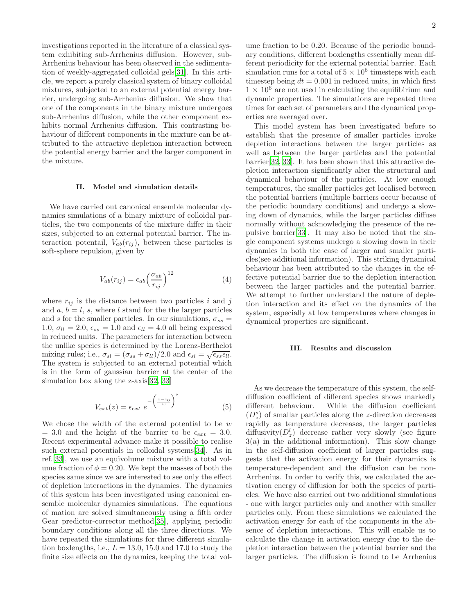investigations reported in the literature of a classical system exhibiting sub-Arrhenius diffusion. However, sub-Arrhenius behaviour has been observed in the sedimentation of weekly-aggregated colloidal gels[\[31\]](#page-6-19). In this article, we report a purely classical system of binary colloidal mixtures, subjected to an external potential energy barrier, undergoing sub-Arrhenius diffusion. We show that one of the components in the binary mixture undergoes sub-Arrhenius diffusion, while the other component exhibits normal Arrhenius diffusion. This contrasting behaviour of different components in the mixture can be attributed to the attractive depletion interaction between the potential energy barrier and the larger component in the mixture.

## II. Model and simulation details

We have carried out canonical ensemble molecular dynamics simulations of a binary mixture of colloidal particles, the two components of the mixture differ in their sizes, subjected to an external potential barrier. The interaction potentail,  $V_{ab}(r_{ij})$ , between these particles is soft-sphere repulsion, given by

$$
V_{ab}(r_{ij}) = \epsilon_{ab} \left(\frac{\sigma_{ab}}{r_{ij}}\right)^{12} \tag{4}
$$

where  $r_{ij}$  is the distance between two particles i and j and  $a, b = l, s$ , where l stand for the the larger particles and s for the smaller particles. In our simulations,  $\sigma_{ss} =$ 1.0,  $\sigma_{ll} = 2.0$ ,  $\epsilon_{ss} = 1.0$  and  $\epsilon_{ll} = 4.0$  all being expressed in reduced units. The parameters for interaction between the unlike species is determined by the Lorenz-Berthelot mixing rules; i.e.,  $\sigma_{sl} = (\sigma_{ss} + \sigma_{ll})/2.0$  and  $\epsilon_{sl} = \sqrt{\epsilon_{ss} \epsilon_{ll}}$ . The system is subjected to an external potential which is in the form of gaussian barrier at the center of the simulation box along the z-axis [\[32,](#page-6-20) [33\]](#page-6-21)

$$
V_{ext}(z) = \epsilon_{ext} e^{-\left(\frac{z-z_0}{w}\right)^2}
$$
 (5)

We chose the width of the external potential to be  $w$  $= 3.0$  and the height of the barrier to be  $\epsilon_{ext} = 3.0$ . Recent experimental advance make it possible to realise such external potentials in colloidal systems[\[34\]](#page-6-22). As in ref.[\[33\]](#page-6-21), we use an equivolume mixture with a total volume fraction of  $\phi = 0.20$ . We kept the masses of both the species same since we are interested to see only the effect of depletion interactions in the dynamics. The dynamics of this system has been investigated using canonical ensemble molecular dynamics simulations. The equations of mation are solved simultaneously using a fifth order Gear predictor-corrector method[\[35\]](#page-6-23), applying periodic boundary conditions along all the three directions. We have repeated the simulations for three different simulation boxlengths, i.e.,  $L = 13.0$ , 15.0 and 17.0 to study the finite size effects on the dynamics, keeping the total vol-

ume fraction to be 0.20. Because of the periodic boundary conditions, different boxlengths essentially mean different periodicity for the external potential barrier. Each simulation runs for a total of  $5 \times 10^6$  timesteps with each timestep being  $dt = 0.001$  in reduced units, in which first  $1 \times 10^6$  are not used in calculating the equilibirium and dynamic properties. The simulations are repeated three times for each set of parameters and the dynamical properties are averaged over.

This model system has been investigated before to establish that the presence of smaller particles invoke depletion interactions between the larger particles as well as between the larger particles and the potential barrier[\[32,](#page-6-20) [33\]](#page-6-21). It has been shown that this attractive depletion interaction significantly alter the structural and dynamical behaviour of the particles. At low enough temperatures, the smaller particles get localised between the potential barriers (multiple barriers occur because of the periodic boundary conditions) and undergo a slowing down of dynamics, while the larger particles diffuse normally without acknowledging the presence of the repulsive barrier[\[33\]](#page-6-21). It may also be noted that the single component systems undergo a slowing down in their dynamics in both the case of larger and smaller particles(see additional information). This striking dynamical behaviour has been attributed to the changes in the effective potential barrier due to the depletion interaction between the larger particles and the potential barrier. We attempt to further understand the nature of depletion interaction and its effect on the dynamics of the system, especially at low temperatures where changes in dynamical properties are significant.

## III. Results and discussion

As we decrease the temperature of this system, the selfdiffusion coefficient of different species shows markedly different behaviour. While the diffusion coefficient  $(D_z^s)$  of smallar particles along the *z*-direction decreases rapidly as temperature decreases, the larger particles diffusivity $(D_z^l)$  decrease rather very slowly (see figure 3(a) in the additional information). This slow change in the self-diffusion coefficient of larger particles suggests that the activation energy for their dynamics is temperature-dependent and the diffusion can be non-Arrhenius. In order to verify this, we calculated the activation energy of diffusion for both the species of particles. We have also carried out two additional simulations - one with larger particles only and another with smaller particles only. From these simulations we calculated the activation energy for each of the components in the absence of depletion interactions. This will enable us to calculate the change in activation energy due to the depletion interaction between the potential barrier and the larger particles. The diffusion is found to be Arrhenius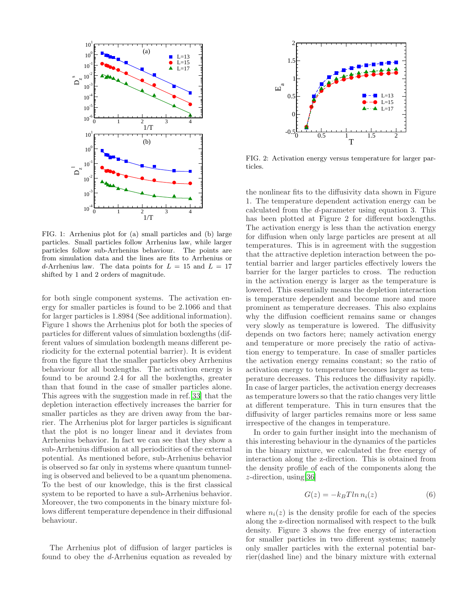

FIG. 1: Arrhenius plot for (a) small particles and (b) large particles. Small particles follow Arrhenius law, while larger particles follow sub-Arrhenius behaviour. The points are from simulation data and the lines are fits to Arrhenius or d-Arrhenius law. The data points for  $L = 15$  and  $L = 17$ shifted by 1 and 2 orders of magnitude.

for both single component systems. The activation energy for smaller particles is found to be 2.1066 and that for larger particles is 1.8984 (See additional information). Figure 1 shows the Arrhenius plot for both the species of particles for different values of simulation boxlengths (different values of simulation boxlength means different periodicity for the external potential barrier). It is evident from the figure that the smaller particles obey Arrhenius behaviour for all boxlengths. The activation energy is found to be around 2.4 for all the boxlengths, greater than that found in the case of smaller particles alone. This agrees with the suggestion made in ref.[\[33](#page-6-21)] that the depletion interaction effectively increases the barrier for smaller particles as they are driven away from the barrier. The Arrhenius plot for larger particles is significant that the plot is no longer linear and it deviates from Arrhenius behavior. In fact we can see that they show a sub-Arrhenius diffusion at all periodicities of the external potential. As mentioned before, sub-Arrhenius behavior is observed so far only in systems where quantum tunneling is observed and believed to be a quantum phenomena. To the best of our knowledge, this is the first classical system to be reported to have a sub-Arrhenius behavior. Moreover, the two components in the binary mixture follows different temperature dependence in their diffusional behaviour.

The Arrhenius plot of diffusion of larger particles is found to obey the d-Arrhenius equation as revealed by



FIG. 2: Activation energy versus temperature for larger particles.

the nonlinear fits to the diffusivity data shown in Figure 1. The temperature dependent activation energy can be calculated from the d-parameter using equation 3. This has been plotted at Figure 2 for different boxlengths. The activation energy is less than the activation energy for diffusion when only large particles are present at all temperatures. This is in agreement with the suggestion that the attractive depletion interaction between the potential barrier and larger particles effectively lowers the barrier for the larger particles to cross. The reduction in the activation energy is larger as the temperature is lowered. This essentially means the depletion interaction is temperature dependent and become more and more prominent as temperature decreases. This also explains why the diffusion coefficient remains same or changes very slowly as temperature is lowered. The diffusivity depends on two factors here; namely activation energy and temperature or more precisely the ratio of activation energy to temperature. In case of smaller particles the activation energy remains constant; so the ratio of activation energy to temperature becomes larger as temperature decreases. This reduces the diffusivity rapidly. In case of larger particles, the activation energy decreases as temperature lowers so that the ratio changes very little at different temperature. This in turn ensures that the diffusivity of larger particles remains more or less same irrespective of the changes in temperature.

In order to gain further insight into the mechanism of this interesting behaviour in the dynamics of the particles in the binary mixture, we calculated the free energy of interaction along the z-direction. This is obtained from the density profile of each of the components along the z-direction, using[\[36](#page-6-24)]

$$
G(z) = -k_B T \ln n_i(z) \tag{6}
$$

where  $n_i(z)$  is the density profile for each of the species along the z-direction normalised with respect to the bulk density. Figure 3 shows the free energy of interaction for smaller particles in two different systems; namely only smaller particles with the external potential barrier(dashed line) and the binary mixture with external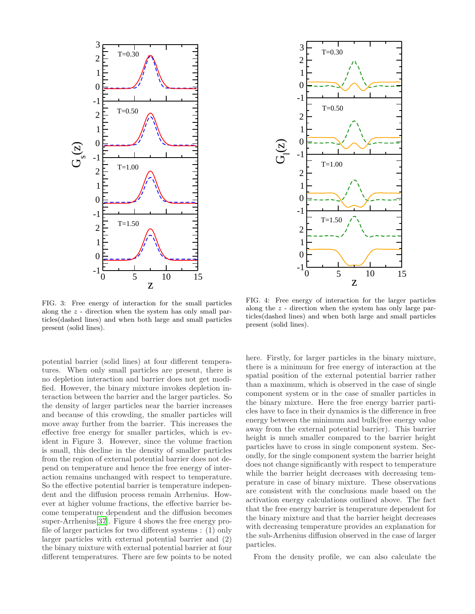

FIG. 3: Free energy of interaction for the small particles along the z - direction when the system has only small particles(dashed lines) and when both large and small particles present (solid lines).

potential barrier (solid lines) at four different temperatures. When only small particles are present, there is no depletion interaction and barrier does not get modified. However, the binary mixture invokes depletion interaction between the barrier and the larger particles. So the density of larger particles near the barrier increases and because of this crowding, the smaller particles will move away further from the barrier. This increases the effective free energy for smaller particles, which is evident in Figure 3. However, since the volume fraction is small, this decline in the density of smaller particles from the region of external potential barrier does not depend on temperature and hence the free energy of interaction remains unchanged with respect to temperature. So the effective potential barrier is temperature independent and the diffusion process remain Arrhenius. However at higher volume fractions, the effective barrier become temperature dependent and the diffusion becomes super-Arrhenius[\[37\]](#page-6-25). Figure 4 shows the free energy profile of larger particles for two different systems : (1) only larger particles with external potential barrier and (2) the binary mixture with external potential barrier at four different temperatures. There are few points to be noted



FIG. 4: Free energy of interaction for the larger particles along the z - direction when the system has only large particles(dashed lines) and when both large and small particles present (solid lines).

here. Firstly, for larger particles in the binary mixture, there is a minimum for free energy of interaction at the spatial position of the external potential barrier rather than a maximum, which is observed in the case of single component system or in the case of smaller particles in the binary mixture. Here the free energy barrier particles have to face in their dynamics is the difference in free energy between the minimum and bulk(free energy value away from the external potential barrier). This barrier height is much smaller compared to the barrier height particles have to cross in single component system. Secondly, for the single component system the barrier height does not change significantly with respect to temperature while the barrier height decreases with decreasing temperature in case of binary mixture. These observations are consistent with the conclusions made based on the activation energy calculations outlined above. The fact that the free energy barrier is temperature dependent for the binary mixture and that the barrier height decreases with decreasing temperature provides an explanation for the sub-Arrhenius diffusion observed in the case of larger particles.

From the density profile, we can also calculate the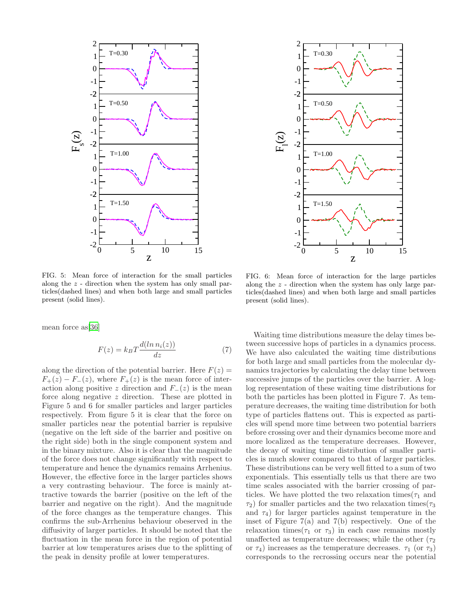



FIG. 5: Mean force of interaction for the small particles along the z - direction when the system has only small particles(dashed lines) and when both large and small particles present (solid lines).

mean force as[\[36](#page-6-24)]

$$
F(z) = k_B T \frac{d(\ln n_i(z))}{dz} \tag{7}
$$

along the direction of the potential barrier. Here  $F(z) =$  $F_{+}(z) - F_{-}(z)$ , where  $F_{+}(z)$  is the mean force of interaction along positive z direction and  $F_-(z)$  is the mean force along negative z direction. These are plotted in Figure 5 and 6 for smaller particles and larger particles respectively. From figure 5 it is clear that the force on smaller particles near the potential barrier is repulsive (negative on the left side of the barrier and positive on the right side) both in the single component system and in the binary mixture. Also it is clear that the magnitude of the force does not change significantly with respect to temperature and hence the dynamics remains Arrhenius. However, the effective force in the larger particles shows a very contrasting behaviour. The force is mainly attractive towards the barrier (positive on the left of the barrier and negative on the right). And the magnitude of the force changes as the temperature changes. This confirms the sub-Arrhenius behaviour obeserved in the diffusivity of larger particles. It should be noted that the fluctuation in the mean force in the region of potential barrier at low temperatures arises due to the splitting of the peak in density profile at lower temperatures.

FIG. 6: Mean force of interaction for the large particles along the z - direction when the system has only large particles(dashed lines) and when both large and small particles present (solid lines).

Waiting time distributions measure the delay times between successive hops of particles in a dynamics process. We have also calculated the waiting time distributions for both large and small particles from the molecular dynamics trajectories by calculating the delay time between successive jumps of the particles over the barrier. A loglog representation of these waiting time distributions for both the particles has been plotted in Figure 7. As temperature decreases, the waiting time distribution for both type of particles flattens out. This is expected as particles will spend more time between two potential barriers before crossing over and their dynamics become more and more localized as the temperature decreases. However, the decay of waiting time distribution of smaller particles is much slower compared to that of larger particles. These distributions can be very well fitted to a sum of two exponentials. This essentially tells us that there are two time scales associated with the barrier crossing of particles. We have plotted the two relaxation times( $\tau_1$  and  $\tau_2$ ) for smaller particles and the two relaxation times( $\tau_3$ ) and  $\tau_4$ ) for larger particles against temperature in the inset of Figure  $7(a)$  and  $7(b)$  respectively. One of the relaxation times( $\tau_1$  or  $\tau_3$ ) in each case remains mostly unaffected as temperature decreases; while the other  $(\tau_2)$ or  $\tau_4$ ) increases as the temperature decreases.  $\tau_1$  (or  $\tau_3$ ) corresponds to the recrossing occurs near the potential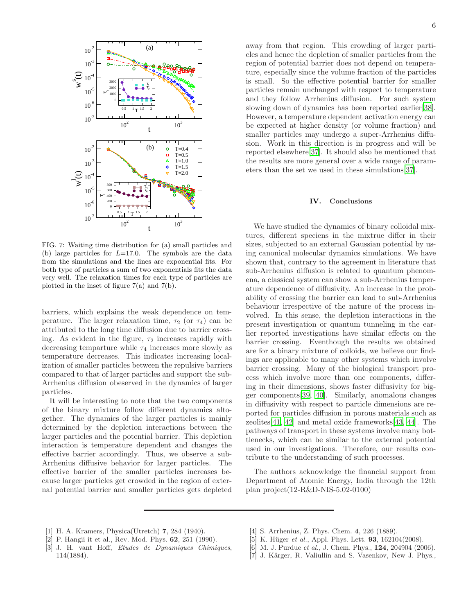

FIG. 7: Waiting time distribution for (a) small particles and (b) large particles for  $L=17.0$ . The symbols are the data from the simulations and the lines are exponential fits. For both type of particles a sum of two exponentials fits the data very well. The relaxation times for each type of particles are plotted in the inset of figure 7(a) and 7(b).

barriers, which explains the weak dependence on temperature. The larger relaxation time,  $\tau_2$  (or  $\tau_4$ ) can be attributed to the long time diffusion due to barrier crossing. As evident in the figure,  $\tau_2$  increases rapidly with decreasing temparture while  $\tau_4$  increases more slowly as temperature decreases. This indicates increasing localization of smaller particles between the repulsive barriers compared to that of larger particles and support the sub-Arrhenius diffusion obeserved in the dynamics of larger particles.

It will be interesting to note that the two components of the binary mixture follow different dynamics altogether. The dynamics of the larger particles is mainly determined by the depletion interactions between the larger particles and the potential barrier. This depletion interaction is temperature dependent and changes the effective barrier accordingly. Thus, we observe a sub-Arrhenius diffusive behavior for larger particles. The effective barrier of the smaller particles increases because larger particles get crowded in the region of external potential barrier and smaller particles gets depleted away from that region. This crowding of larger particles and hence the depletion of smaller particles from the region of potential barrier does not depend on temperature, especially since the volume fraction of the particles is small. So the effective potential barrier for smaller particles remain unchanged with respect to temperature and they follow Arrhenius diffusion. For such system slowing down of dynamics has been reported earlier[\[38\]](#page-6-26). However, a temperature dependent activation energy can be expected at higher density (or volume fraction) and smaller particles may undergo a super-Arrhenius diffusion. Work in this direction is in progress and will be reported elsewhere[\[37\]](#page-6-25). It should also be mentioned that the results are more general over a wide range of parameters than the set we used in these simulations[\[37](#page-6-25)].

#### IV. Conclusions

We have studied the dynamics of binary colloidal mixtures, different speciens in the mixtrue differ in their sizes, subjected to an external Gaussian potential by using canonical molecular dynamics simulations. We have shown that, contrary to the agreement in literature that sub-Arrhenius diffusion is related to quantum phenomena, a classical system can show a sub-Arrhenius temperature dependence of diffusivity. An increase in the probability of crossing the barrier can lead to sub-Arrhenius behaviour irrespective of the nature of the process involved. In this sense, the depletion interactions in the present investigation or quantum tunneling in the earlier reported investigations have similar effects on the barrier crossing. Eventhough the results we obtained are for a binary mixture of colloids, we believe our findings are applicable to many other systems which involve barrier crossing. Many of the biological transport process which involve more than one components, differing in their dimensions, shows faster diffusivity for bigger components[\[39,](#page-6-27) [40\]](#page-6-28). Similarly, anomalous changes in diffusivity with respect to particle dimensions are reported for particles diffusion in porous materials such as zeolites[\[41,](#page-6-29) [42\]](#page-6-30) and metal oxide frameworks[\[43,](#page-6-31) [44\]](#page-6-32). The pathways of transport in these systems involve many bottlenecks, which can be similar to the external potential used in our investigations. Therefore, our results contribute to the understanding of such processes.

The authors acknowledge the financial support from Department of Atomic Energy, India through the 12th plan project(12-R&D-NIS-5.02-0100)

- <span id="page-5-0"></span>[1] H. A. Kramers, Physica(Utretch) 7, 284 (1940).
- <span id="page-5-1"></span>[2] P. Hangii it et al., Rev. Mod. Phys. 62, 251 (1990).
- <span id="page-5-2"></span>[3] J. H. vant Hoff, Etudes de Dynamiques Chimiques, 114(1884).
- <span id="page-5-3"></span>[4] S. Arrhenius, Z. Phys. Chem. 4, 226 (1889).
- <span id="page-5-4"></span>[5] K. Hüger *et al.*, Appl. Phys. Lett. **93**,  $162104(2008)$ .
- <span id="page-5-5"></span>[6] M. J. Purdue *et al.*, J. Chem. Phys., **124**, 204904 (2006).
- <span id="page-5-6"></span>[7] J. Kärger, R. Valiullin and S. Vasenkov, New J. Phys.,